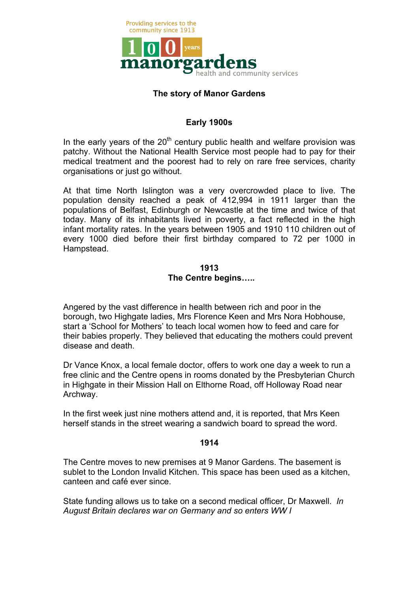

# **The story of Manor Gardens**

# **Early 1900s**

In the early years of the  $20<sup>th</sup>$  century public health and welfare provision was patchy. Without the National Health Service most people had to pay for their medical treatment and the poorest had to rely on rare free services, charity organisations or just go without.

At that time North Islington was a very overcrowded place to live. The population density reached a peak of 412,994 in 1911 larger than the populations of Belfast, Edinburgh or Newcastle at the time and twice of that today. Many of its inhabitants lived in poverty, a fact reflected in the high infant mortality rates. In the years between 1905 and 1910 110 children out of every 1000 died before their first birthday compared to 72 per 1000 in Hampstead.

# **1913 The Centre begins…..**

Angered by the vast difference in health between rich and poor in the borough, two Highgate ladies, Mrs Florence Keen and Mrs Nora Hobhouse, start a 'School for Mothers' to teach local women how to feed and care for their babies properly. They believed that educating the mothers could prevent disease and death.

Dr Vance Knox, a local female doctor, offers to work one day a week to run a free clinic and the Centre opens in rooms donated by the Presbyterian Church in Highgate in their Mission Hall on Elthorne Road, off Holloway Road near Archway.

In the first week just nine mothers attend and, it is reported, that Mrs Keen herself stands in the street wearing a sandwich board to spread the word.

### **1914**

The Centre moves to new premises at 9 Manor Gardens. The basement is sublet to the London Invalid Kitchen. This space has been used as a kitchen, canteen and café ever since.

State funding allows us to take on a second medical officer, Dr Maxwell. *In August Britain declares war on Germany and so enters WW I*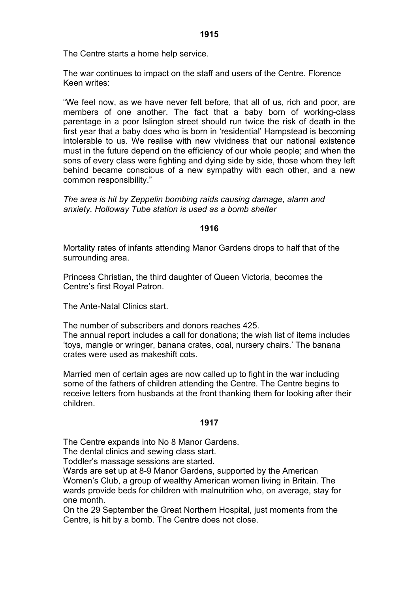The war continues to impact on the staff and users of the Centre. Florence Keen writes:

"We feel now, as we have never felt before, that all of us, rich and poor, are members of one another. The fact that a baby born of working-class parentage in a poor Islington street should run twice the risk of death in the first year that a baby does who is born in 'residential' Hampstead is becoming intolerable to us. We realise with new vividness that our national existence must in the future depend on the efficiency of our whole people; and when the sons of every class were fighting and dying side by side, those whom they left behind became conscious of a new sympathy with each other, and a new common responsibility."

*The area is hit by Zeppelin bombing raids causing damage, alarm and anxiety. Holloway Tube station is used as a bomb shelter*

### **1916**

Mortality rates of infants attending Manor Gardens drops to half that of the surrounding area.

Princess Christian, the third daughter of Queen Victoria, becomes the Centre's first Royal Patron.

The Ante-Natal Clinics start.

The number of subscribers and donors reaches 425.

The annual report includes a call for donations; the wish list of items includes 'toys, mangle or wringer, banana crates, coal, nursery chairs.' The banana crates were used as makeshift cots.

Married men of certain ages are now called up to fight in the war including some of the fathers of children attending the Centre. The Centre begins to receive letters from husbands at the front thanking them for looking after their children.

# **1917**

The Centre expands into No 8 Manor Gardens.

The dental clinics and sewing class start.

Toddler's massage sessions are started.

Wards are set up at 8-9 Manor Gardens, supported by the American Women's Club, a group of wealthy American women living in Britain. The wards provide beds for children with malnutrition who, on average, stay for one month.

On the 29 September the Great Northern Hospital, just moments from the Centre, is hit by a bomb. The Centre does not close.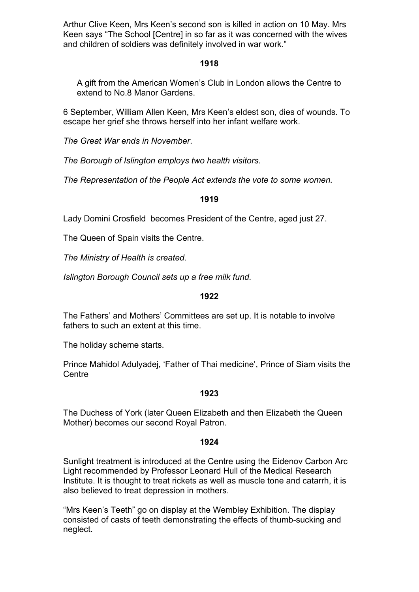Arthur Clive Keen, Mrs Keen's second son is killed in action on 10 May. Mrs Keen says "The School [Centre] in so far as it was concerned with the wives and children of soldiers was definitely involved in war work."

# **1918**

A gift from the American Women's Club in London allows the Centre to extend to No.8 Manor Gardens.

6 September, William Allen Keen, Mrs Keen's eldest son, dies of wounds. To escape her grief she throws herself into her infant welfare work.

*The Great War ends in November*.

*The Borough of Islington employs two health visitors.* 

*The Representation of the People Act extends the vote to some women.*

### **1919**

Lady Domini Crosfield becomes President of the Centre, aged just 27.

The Queen of Spain visits the Centre.

*The Ministry of Health is created.* 

*Islington Borough Council sets up a free milk fund.*

### **1922**

The Fathers' and Mothers' Committees are set up. It is notable to involve fathers to such an extent at this time.

The holiday scheme starts.

Prince Mahidol Adulyadej, 'Father of Thai medicine', Prince of Siam visits the **Centre** 

#### **1923**

The Duchess of York (later Queen Elizabeth and then Elizabeth the Queen Mother) becomes our second Royal Patron.

### **1924**

Sunlight treatment is introduced at the Centre using the Eidenov Carbon Arc Light recommended by Professor Leonard Hull of the Medical Research Institute. It is thought to treat rickets as well as muscle tone and catarrh, it is also believed to treat depression in mothers.

"Mrs Keen's Teeth" go on display at the Wembley Exhibition. The display consisted of casts of teeth demonstrating the effects of thumb-sucking and neglect.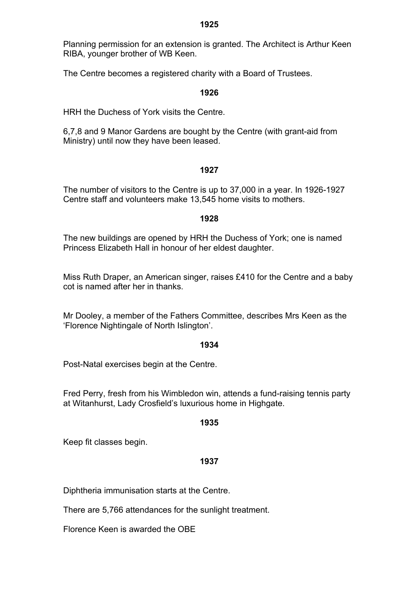Planning permission for an extension is granted. The Architect is Arthur Keen RIBA, younger brother of WB Keen.

The Centre becomes a registered charity with a Board of Trustees.

#### **1926**

HRH the Duchess of York visits the Centre.

6,7,8 and 9 Manor Gardens are bought by the Centre (with grant-aid from Ministry) until now they have been leased.

#### **1927**

The number of visitors to the Centre is up to 37,000 in a year. In 1926-1927 Centre staff and volunteers make 13,545 home visits to mothers.

#### **1928**

The new buildings are opened by HRH the Duchess of York; one is named Princess Elizabeth Hall in honour of her eldest daughter.

Miss Ruth Draper, an American singer, raises £410 for the Centre and a baby cot is named after her in thanks.

Mr Dooley, a member of the Fathers Committee, describes Mrs Keen as the 'Florence Nightingale of North Islington'.

### **1934**

Post-Natal exercises begin at the Centre.

Fred Perry, fresh from his Wimbledon win, attends a fund-raising tennis party at Witanhurst, Lady Crosfield's luxurious home in Highgate.

#### **1935**

Keep fit classes begin.

### **1937**

Diphtheria immunisation starts at the Centre.

There are 5,766 attendances for the sunlight treatment.

Florence Keen is awarded the OBE

#### **1925**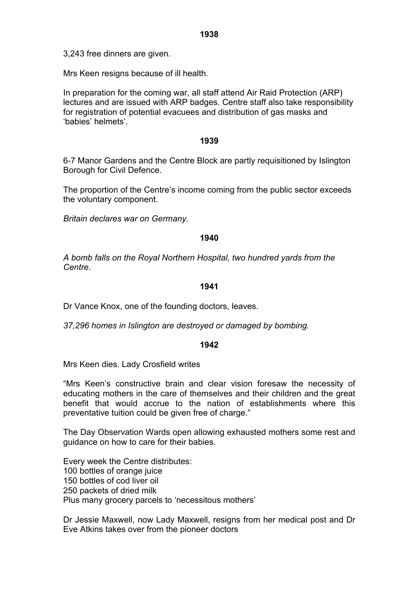Mrs Keen resigns because of ill health.

In preparation for the coming war, all staff attend Air Raid Protection (ARP) lectures and are issued with ARP badges. Centre staff also take responsibility for registration of potential evacuees and distribution of gas masks and 'babies' helmets'.

## **1939**

6-7 Manor Gardens and the Centre Block are partly requisitioned by Islington Borough for Civil Defence.

The proportion of the Centre's income coming from the public sector exceeds the voluntary component.

*Britain declares war on Germany.* 

# **1940**

*A bomb falls on the Royal Northern Hospital, two hundred yards from the Centre*.

### **1941**

Dr Vance Knox, one of the founding doctors, leaves.

*37,296 homes in Islington are destroyed or damaged by bombing.*

# **1942**

Mrs Keen dies. Lady Crosfield writes

"Mrs Keen's constructive brain and clear vision foresaw the necessity of educating mothers in the care of themselves and their children and the great benefit that would accrue to the nation of establishments where this preventative tuition could be given free of charge."

The Day Observation Wards open allowing exhausted mothers some rest and guidance on how to care for their babies.

Every week the Centre distributes: 100 bottles of orange juice 150 bottles of cod liver oil 250 packets of dried milk Plus many grocery parcels to 'necessitous mothers'

Dr Jessie Maxwell, now Lady Maxwell, resigns from her medical post and Dr Eve Atkins takes over from the pioneer doctors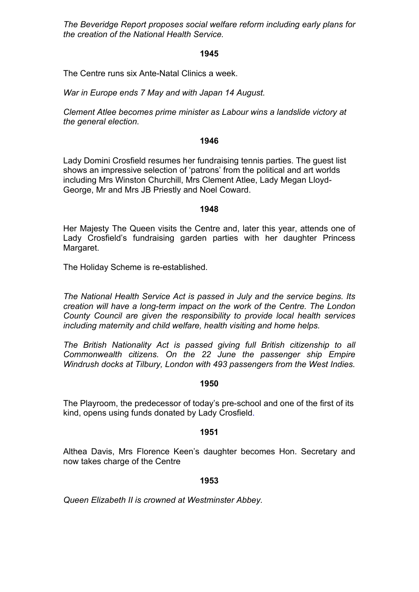*The Beveridge Report proposes social welfare reform including early plans for the creation of the National Health Service.* 

### **1945**

The Centre runs six Ante-Natal Clinics a week.

*War in Europe ends 7 May and with Japan 14 August.*

*Clement Atlee becomes prime minister as Labour wins a landslide victory at the general election.* 

### **1946**

Lady Domini Crosfield resumes her fundraising tennis parties. The guest list shows an impressive selection of 'patrons' from the political and art worlds including Mrs Winston Churchill, Mrs Clement Atlee, Lady Megan Lloyd-George, Mr and Mrs JB Priestly and Noel Coward.

### **1948**

Her Majesty The Queen visits the Centre and, later this year, attends one of Lady Crosfield's fundraising garden parties with her daughter Princess Margaret.

The Holiday Scheme is re-established.

*The National Health Service Act is passed in July and the service begins. Its creation will have a long-term impact on the work of the Centre. The London County Council are given the responsibility to provide local health services including maternity and child welfare, health visiting and home helps.* 

*The British Nationality Act is passed giving full British citizenship to all Commonwealth citizens. On the 22 June the passenger ship Empire Windrush docks at Tilbury, London with 493 passengers from the West Indies.* 

### **1950**

The Playroom, the predecessor of today's pre-school and one of the first of its kind, opens using funds donated by Lady Crosfield.

### **1951**

Althea Davis, Mrs Florence Keen's daughter becomes Hon. Secretary and now takes charge of the Centre

# **1953**

*Queen Elizabeth II is crowned at Westminster Abbey.*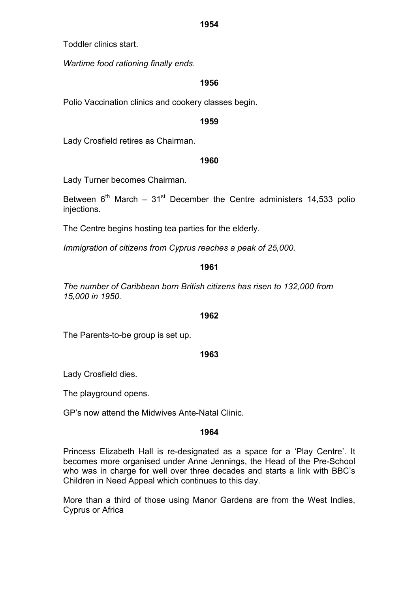Toddler clinics start.

*Wartime food rationing finally ends.* 

## **1956**

Polio Vaccination clinics and cookery classes begin.

### **1959**

Lady Crosfield retires as Chairman.

### **1960**

Lady Turner becomes Chairman.

Between  $6<sup>th</sup>$  March – 31<sup>st</sup> December the Centre administers 14,533 polio injections.

The Centre begins hosting tea parties for the elderly.

*Immigration of citizens from Cyprus reaches a peak of 25,000.*

### **1961**

*The number of Caribbean born British citizens has risen to 132,000 from 15,000 in 1950.* 

### **1962**

The Parents-to-be group is set up.

### **1963**

Lady Crosfield dies.

The playground opens.

GP's now attend the Midwives Ante-Natal Clinic.

### **1964**

Princess Elizabeth Hall is re-designated as a space for a 'Play Centre'. It becomes more organised under Anne Jennings, the Head of the Pre-School who was in charge for well over three decades and starts a link with BBC's Children in Need Appeal which continues to this day.

More than a third of those using Manor Gardens are from the West Indies, Cyprus or Africa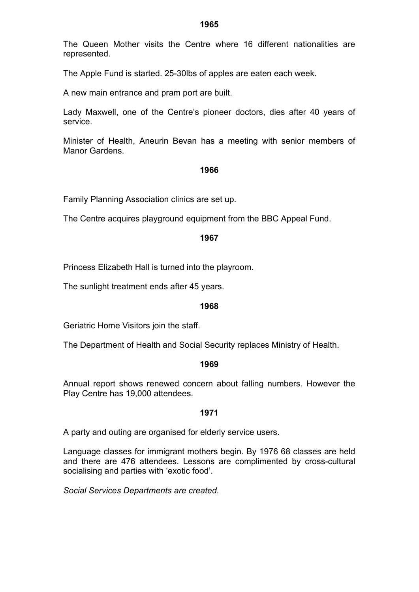The Queen Mother visits the Centre where 16 different nationalities are represented.

The Apple Fund is started. 25-30lbs of apples are eaten each week.

A new main entrance and pram port are built.

Lady Maxwell, one of the Centre's pioneer doctors, dies after 40 years of service.

Minister of Health, Aneurin Bevan has a meeting with senior members of Manor Gardens.

#### **1966**

Family Planning Association clinics are set up.

The Centre acquires playground equipment from the BBC Appeal Fund.

### **1967**

Princess Elizabeth Hall is turned into the playroom.

The sunlight treatment ends after 45 years.

### **1968**

Geriatric Home Visitors join the staff.

The Department of Health and Social Security replaces Ministry of Health.

#### **1969**

Annual report shows renewed concern about falling numbers. However the Play Centre has 19,000 attendees.

#### **1971**

A party and outing are organised for elderly service users.

Language classes for immigrant mothers begin. By 1976 68 classes are held and there are 476 attendees. Lessons are complimented by cross-cultural socialising and parties with 'exotic food'.

*Social Services Departments are created.*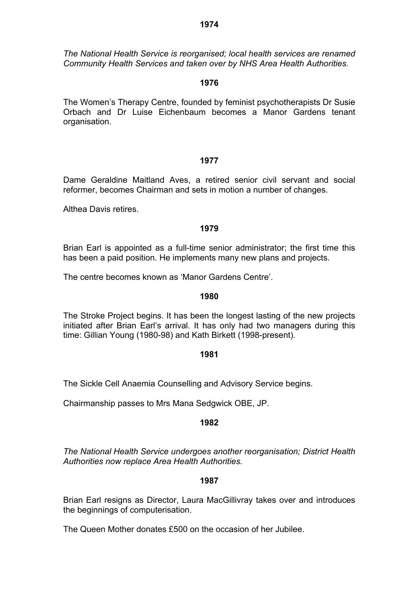*The National Health Service is reorganised; local health services are renamed Community Health Services and taken over by NHS Area Health Authorities.* 

## **1976**

The Women's Therapy Centre, founded by feminist psychotherapists Dr Susie Orbach and Dr Luise Eichenbaum becomes a Manor Gardens tenant organisation.

### **1977**

Dame Geraldine Maitland Aves, a retired senior civil servant and social reformer, becomes Chairman and sets in motion a number of changes.

Althea Davis retires.

### **1979**

Brian Earl is appointed as a full-time senior administrator; the first time this has been a paid position. He implements many new plans and projects.

The centre becomes known as 'Manor Gardens Centre'.

### **1980**

The Stroke Project begins. It has been the longest lasting of the new projects initiated after Brian Earl's arrival. It has only had two managers during this time: Gillian Young (1980-98) and Kath Birkett (1998-present).

### **1981**

The Sickle Cell Anaemia Counselling and Advisory Service begins.

Chairmanship passes to Mrs Mana Sedgwick OBE, JP.

### **1982**

*The National Health Service undergoes another reorganisation; District Health Authorities now replace Area Health Authorities.*

### **1987**

Brian Earl resigns as Director, Laura MacGillivray takes over and introduces the beginnings of computerisation.

The Queen Mother donates £500 on the occasion of her Jubilee.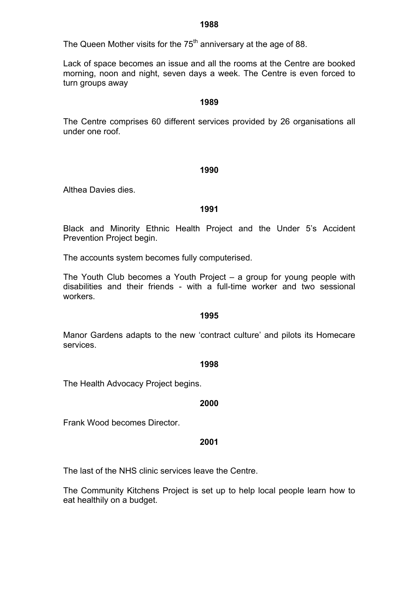The Queen Mother visits for the  $75<sup>th</sup>$  anniversary at the age of 88.

Lack of space becomes an issue and all the rooms at the Centre are booked morning, noon and night, seven days a week. The Centre is even forced to turn groups away

### **1989**

The Centre comprises 60 different services provided by 26 organisations all under one roof.

### **1990**

Althea Davies dies.

### **1991**

Black and Minority Ethnic Health Project and the Under 5's Accident Prevention Project begin.

The accounts system becomes fully computerised.

The Youth Club becomes a Youth Project – a group for young people with disabilities and their friends - with a full-time worker and two sessional workers.

### **1995**

Manor Gardens adapts to the new 'contract culture' and pilots its Homecare services.

### **1998**

The Health Advocacy Project begins.

### **2000**

Frank Wood becomes Director.

### **2001**

The last of the NHS clinic services leave the Centre.

The Community Kitchens Project is set up to help local people learn how to eat healthily on a budget.

#### **1988**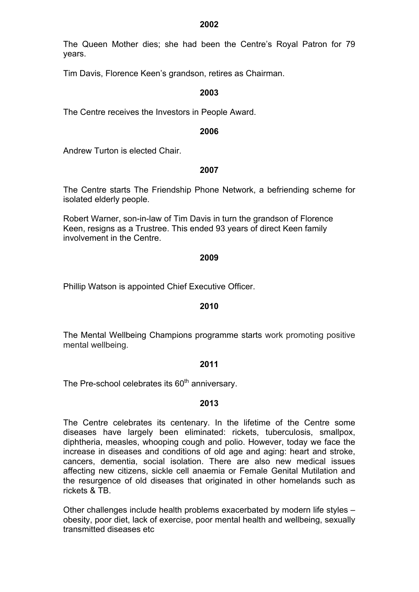The Queen Mother dies; she had been the Centre's Royal Patron for 79 years.

Tim Davis, Florence Keen's grandson, retires as Chairman.

### **2003**

The Centre receives the Investors in People Award.

#### **2006**

Andrew Turton is elected Chair.

### **2007**

The Centre starts The Friendship Phone Network, a befriending scheme for isolated elderly people.

Robert Warner, son-in-law of Tim Davis in turn the grandson of Florence Keen, resigns as a Trustree. This ended 93 years of direct Keen family involvement in the Centre.

#### **2009**

Phillip Watson is appointed Chief Executive Officer.

### **2010**

The Mental Wellbeing Champions programme starts work promoting positive mental wellbeing.

### **2011**

The Pre-school celebrates its  $60<sup>th</sup>$  anniversary.

### **2013**

The Centre celebrates its centenary. In the lifetime of the Centre some diseases have largely been eliminated: rickets, tuberculosis, smallpox, diphtheria, measles, whooping cough and polio. However, today we face the increase in diseases and conditions of old age and aging: heart and stroke, cancers, dementia, social isolation. There are also new medical issues affecting new citizens, sickle cell anaemia or Female Genital Mutilation and the resurgence of old diseases that originated in other homelands such as rickets & TB.

Other challenges include health problems exacerbated by modern life styles – obesity, poor diet, lack of exercise, poor mental health and wellbeing, sexually transmitted diseases etc

**2002**